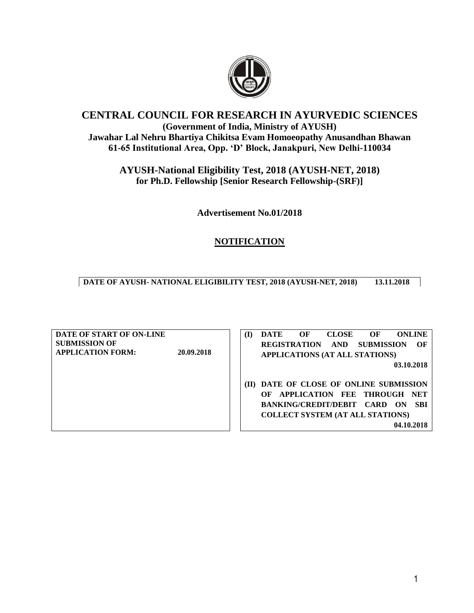

## **CENTRAL COUNCIL FOR RESEARCH IN AYURVEDIC SCIENCES (Government of India, Ministry of AYUSH) Jawahar Lal Nehru Bhartiya Chikitsa Evam Homoeopathy Anusandhan Bhawan 61-65 Institutional Area, Opp. 'D' Block, Janakpuri, New Delhi-110034**

**AYUSH-National Eligibility Test, 2018 (AYUSH-NET, 2018) for Ph.D. Fellowship [Senior Research Fellowship-(SRF)]**

**Advertisement No.01/2018**

# **NOTIFICATION**

**DATE OF AYUSH- NATIONAL ELIGIBILITY TEST, 2018 (AYUSH-NET, 2018) 13.11.2018**

**DATE OF START OF ON-LINE SUBMISSION OF APPLICATION FORM: 20.09.2018 (I) DATE OF CLOSE OF ONLINE REGISTRATION AND SUBMISSION OF APPLICATIONS (AT ALL STATIONS) 03.10.2018 (II) DATE OF CLOSE OF ONLINE SUBMISSION OF APPLICATION FEE THROUGH NET BANKING/CREDIT/DEBIT CARD ON SBI COLLECT SYSTEM (AT ALL STATIONS) 04.10.2018**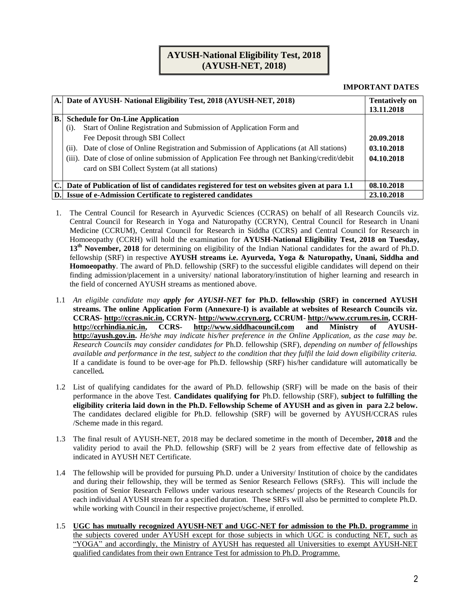## **AYUSH-National Eligibility Test, 2018 (AYUSH-NET, 2018)**

#### **IMPORTANT DATES**

|           | A. Date of AYUSH- National Eligibility Test, 2018 (AYUSH-NET, 2018)                            | <b>Tentatively on</b><br>13.11.2018 |
|-----------|------------------------------------------------------------------------------------------------|-------------------------------------|
| <b>B.</b> | <b>Schedule for On-Line Application</b>                                                        |                                     |
|           | Start of Online Registration and Submission of Application Form and<br>(i).                    |                                     |
|           | Fee Deposit through SBI Collect                                                                | 20.09.2018                          |
|           | Date of close of Online Registration and Submission of Applications (at All stations)<br>(ii). | 03.10.2018                          |
|           | (iii). Date of close of online submission of Application Fee through net Banking/credit/debit  | 04.10.2018                          |
|           | card on SBI Collect System (at all stations)                                                   |                                     |
|           |                                                                                                |                                     |
|           | C. Date of Publication of list of candidates registered for test on websites given at para 1.1 | 08.10.2018                          |
| D.        | <b>Issue of e-Admission Certificate to registered candidates</b>                               | 23.10.2018                          |

- 1. The Central Council for Research in Ayurvedic Sciences (CCRAS) on behalf of all Research Councils viz. Central Council for Research in Yoga and Naturopathy (CCRYN), Central Council for Research in Unani Medicine (CCRUM), Central Council for Research in Siddha (CCRS) and Central Council for Research in Homoeopathy (CCRH) will hold the examination for **AYUSH-National Eligibility Test, 2018 on Tuesday,**  13<sup>th</sup> November, 2018 for determining on eligibility of the Indian National candidates for the award of Ph.D. fellowship (SRF) in respective **AYUSH streams i.e. Ayurveda, Yoga & Naturopathy, Unani, Siddha and Homoeopathy**. The award of Ph.D. fellowship (SRF) to the successful eligible candidates will depend on their finding admission/placement in a university/ national laboratory/institution of higher learning and research in the field of concerned AYUSH streams as mentioned above.
- 1.1 *An eligible candidate may apply for AYUSH-NET* **for Ph.D. fellowship (SRF) in concerned AYUSH streams. The online Application Form (Annexure-I) is available at websites of Research Councils viz. CCRAS- [http://ccras.nic.in,](http://ccras.nic.in/) CCRYN- [http://www.ccryn.org,](http://www.ccryn.org/) CCRUM- [http://www.ccrum.res.in,](http://www.ccrum.res.in/) CCRH[http://ccrhindia.nic.in,](http://ccrhindia.nic.in/) CCRS- [http://www.siddhacouncil.com](http://www.siddhacouncil.com/) and Ministry of AYUSH[http://ayush.gov.in.](http://ayush.gov.in/)** *He/she may indicate his/her preference in the Online Application, as the case may be. Research Councils may consider candidates for* Ph.D. fellowship (SRF)*, depending on number of fellowships available and performance in the test, subject to the condition that they fulfil the laid down eligibility criteria.*  If a candidate is found to be over-age for Ph.D. fellowship (SRF) his/her candidature will automatically be cancelled*.*
- 1.2 List of qualifying candidates for the award of Ph.D. fellowship (SRF) will be made on the basis of their performance in the above Test. **Candidates qualifying for** Ph.D. fellowship (SRF)*,* **subject to fulfilling the eligibility criteria laid down in the Ph.D. Fellowship Scheme of AYUSH and as given in para 2.2 below.**  The candidates declared eligible for Ph.D. fellowship (SRF) will be governed by AYUSH/CCRAS rules /Scheme made in this regard.
- 1.3 The final result of AYUSH-NET, 2018 may be declared sometime in the month of December**, 2018** and the validity period to avail the Ph.D. fellowship (SRF) will be 2 years from effective date of fellowship as indicated in AYUSH NET Certificate.
- 1.4 The fellowship will be provided for pursuing Ph.D. under a University/ Institution of choice by the candidates and during their fellowship, they will be termed as Senior Research Fellows (SRFs). This will include the position of Senior Research Fellows under various research schemes/ projects of the Research Councils for each individual AYUSH stream for a specified duration. These SRFs will also be permitted to complete Ph.D. while working with Council in their respective project/scheme, if enrolled.
- 1.5 **UGC has mutually recognized AYUSH-NET and UGC-NET for admission to the Ph.D. programme** in the subjects covered under AYUSH except for those subjects in which UGC is conducting NET, such as "YOGA" and accordingly, the Ministry of AYUSH has requested all Universities to exempt AYUSH-NET qualified candidates from their own Entrance Test for admission to Ph.D. Programme.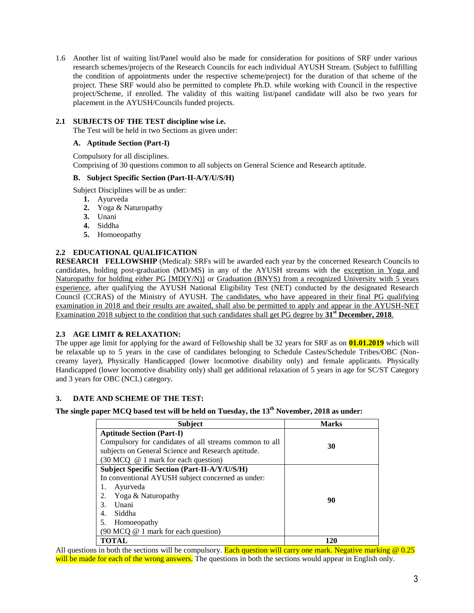1.6 Another list of waiting list/Panel would also be made for consideration for positions of SRF under various research schemes/projects of the Research Councils for each individual AYUSH Stream. (Subject to fulfilling the condition of appointments under the respective scheme/project) for the duration of that scheme of the project. These SRF would also be permitted to complete Ph.D. while working with Council in the respective project/Scheme, if enrolled. The validity of this waiting list/panel candidate will also be two years for placement in the AYUSH/Councils funded projects.

## **2.1 SUBJECTS OF THE TEST discipline wise i.e.**

The Test will be held in two Sections as given under:

#### **A. Aptitude Section (Part-I)**

Compulsory for all disciplines. Comprising of 30 questions common to all subjects on General Science and Research aptitude.

#### **B. Subject Specific Section (Part-II-A/Y/U/S/H)**

Subject Disciplines will be as under:

- **1.** Ayurveda
- **2.** Yoga & Naturopathy
- **3.** Unani
- **4.** Siddha
- **5.** Homoeopathy

## **2.2 EDUCATIONAL QUALIFICATION**

**RESEARCH FELLOWSHIP** (Medical): SRFs will be awarded each year by the concerned Research Councils to candidates, holding post-graduation (MD/MS) in any of the AYUSH streams with the exception in Yoga and Naturopathy for holding either PG [MD(Y/N)] or Graduation (BNYS) from a recognized University with 5 years experience, after qualifying the AYUSH National Eligibility Test (NET) conducted by the designated Research Council (CCRAS) of the Ministry of AYUSH. The candidates, who have appeared in their final PG qualifying examination in 2018 and their results are awaited, shall also be permitted to apply and appear in the AYUSH-NET Examination 2018 subject to the condition that such candidates shall get PG degree by **31st December, 2018**.

## **2.3 AGE LIMIT & RELAXATION:**

The upper age limit for applying for the award of Fellowship shall be 32 years for SRF as on **01.01.2019** which will be relaxable up to 5 years in the case of candidates belonging to Schedule Castes/Schedule Tribes/OBC (Noncreamy layer), Physically Handicapped (lower locomotive disability only) and female applicants. Physically Handicapped (lower locomotive disability only) shall get additional relaxation of 5 years in age for SC/ST Category and 3 years for OBC (NCL) category.

## **3. DATE AND SCHEME OF THE TEST:**

**The single paper MCQ based test will be held on Tuesday, the 13 th November, 2018 as under:** 

| <b>Subject</b>                                                   | <b>Marks</b> |  |
|------------------------------------------------------------------|--------------|--|
| <b>Aptitude Section (Part-I)</b>                                 |              |  |
| Compulsory for candidates of all streams common to all           | 30           |  |
| subjects on General Science and Research aptitude.               |              |  |
| $(30 \text{ MCQ} \circledcirc 1 \text{ mark for each question})$ |              |  |
| <b>Subject Specific Section (Part-II-A/Y/U/S/H)</b>              |              |  |
| In conventional AYUSH subject concerned as under:                |              |  |
| Ayurveda<br>1.                                                   |              |  |
| Yoga & Naturopathy<br>2.                                         | 90           |  |
| 3.<br>Unani                                                      |              |  |
| Siddha<br>4.                                                     |              |  |
| 5.<br>Homoeopathy                                                |              |  |
| (90 MCQ @ 1 mark for each question)                              |              |  |
| <b>TOTAL</b>                                                     | 120          |  |

All questions in both the sections will be compulsory. Each question will carry one mark. Negative marking  $\omega$  0.25 will be made for each of the wrong answers. The questions in both the sections would appear in English only.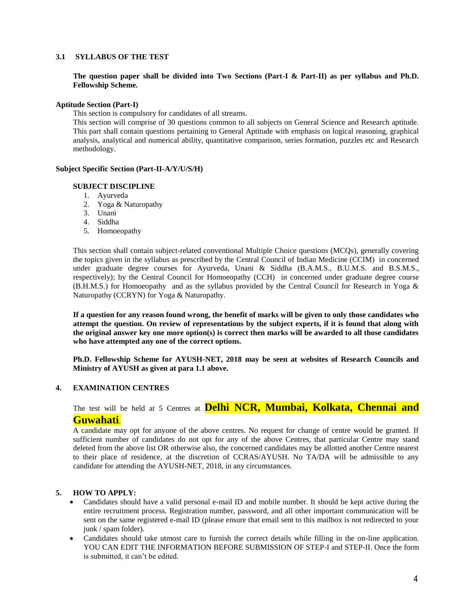### **3.1 SYLLABUS OF THE TEST**

**The question paper shall be divided into Two Sections (Part-I & Part-II) as per syllabus and Ph.D. Fellowship Scheme.**

#### **Aptitude Section (Part-I)**

This section is compulsory for candidates of all streams.

This section will comprise of 30 questions common to all subjects on General Science and Research aptitude. This part shall contain questions pertaining to General Aptitude with emphasis on logical reasoning, graphical analysis, analytical and numerical ability, quantitative comparison, series formation, puzzles etc and Research methodology.

#### **Subject Specific Section (Part-II-A/Y/U/S/H)**

#### **SUBJECT DISCIPLINE**

- 1. Ayurveda
- 2. Yoga & Naturopathy
- 3. Unani
- 4. Siddha
- 5. Homoeopathy

This section shall contain subject-related conventional Multiple Choice questions (MCQs), generally covering the topics given in the syllabus as prescribed by the Central Council of Indian Medicine (CCIM) in concerned under graduate degree courses for Ayurveda, Unani & Siddha (B.A.M.S., B.U.M.S. and B.S.M.S., respectively); by the Central Council for Homoeopathy (CCH) in concerned under graduate degree course (B.H.M.S.) for Homoeopathy and as the syllabus provided by the Central Council for Research in Yoga & Naturopathy (CCRYN) for Yoga & Naturopathy.

**If a question for any reason found wrong, the benefit of marks will be given to only those candidates who attempt the question. On review of representations by the subject experts, if it is found that along with the original answer key one more option(s) is correct then marks will be awarded to all those candidates who have attempted any one of the correct options.** 

**Ph.D. Fellowship Scheme for AYUSH-NET, 2018 may be seen at websites of Research Councils and Ministry of AYUSH as given at para 1.1 above.**

#### **4. EXAMINATION CENTRES**

The test will be held at 5 Centres at **Delhi NCR, Mumbai, Kolkata, Chennai and Guwahati**.

A candidate may opt for anyone of the above centres. No request for change of centre would be granted. If sufficient number of candidates do not opt for any of the above Centres, that particular Centre may stand deleted from the above list OR otherwise also, the concerned candidates may be allotted another Centre nearest to their place of residence, at the discretion of CCRAS/AYUSH. No TA/DA will be admissible to any candidate for attending the AYUSH-NET, 2018, in any circumstances.

#### **5. HOW TO APPLY:**

- Candidates should have a valid personal e-mail ID and mobile number. It should be kept active during the entire recruitment process. Registration number, password, and all other important communication will be sent on the same registered e-mail ID (please ensure that email sent to this mailbox is not redirected to your junk / spam folder).
- Candidates should take utmost care to furnish the correct details while filling in the on-line application. YOU CAN EDIT THE INFORMATION BEFORE SUBMISSION OF STEP-I and STEP-II. Once the form is submitted, it can't be edited.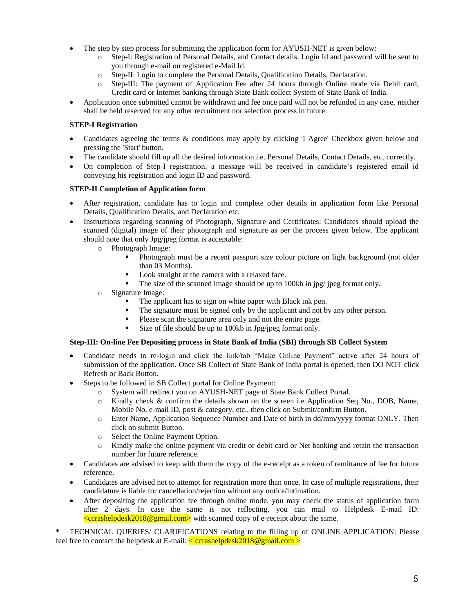- The step by step process for submitting the application form for AYUSH-NET is given below:
	- o Step-I: Registration of Personal Details, and Contact details. Login Id and password will be sent to you through e-mail on registered e-Mail Id.
	- o Step-II: Login to complete the Personal Details, Qualification Details, Declaration.
	- o Step-III: The payment of Application Fee after 24 hours through Online mode via Debit card, Credit card or Internet banking through State Bank collect System of State Bank of India.
- Application once submitted cannot be withdrawn and fee once paid will not be refunded in any case, neither shall be held reserved for any other recruitment nor selection process in future.

## **STEP-I Registration**

- Candidates agreeing the terms & conditions may apply by clicking 'I Agree' Checkbox given below and pressing the 'Start' button.
- The candidate should fill up all the desired information i.e. Personal Details, Contact Details, etc. correctly.
- On completion of Step-I registration, a message will be received in candidate's registered email id conveying his registration and login ID and password.

## **STEP-II Completion of Application form**

- After registration, candidate has to login and complete other details in application form like Personal Details, Qualification Details, and Declaration etc.
- Instructions regarding scanning of Photograph, Signature and Certificates: Candidates should upload the scanned (digital) image of their photograph and signature as per the process given below. The applicant should note that only Jpg/jpeg format is acceptable:
	- o Photograph Image:
		- Photograph must be a recent passport size colour picture on light background (not older than 03 Months).
		- Look straight at the camera with a relaxed face.
		- The size of the scanned image should be up to 100kb in jpg/ jpeg format only.
	- o Signature Image:
		- The applicant has to sign on white paper with Black ink pen.
		- The signature must be signed only by the applicant and not by any other person.
		- Please scan the signature area only and not the entire page.
		- Size of file should be up to 100kb in Jpg/jpeg format only.

## **Step-III: On-line Fee Depositing process in State Bank of India (SBI) through SB Collect System**

- Candidate needs to re-login and click the link/tab "Make Online Payment" active after 24 hours of submission of the application. Once SB Collect of State Bank of India portal is opened, then DO NOT click Refresh or Back Button.
- Steps to be followed in SB Collect portal for Online Payment:
	- o System will redirect you on AYUSH-NET page of State Bank Collect Portal.
	- o Kindly check & confirm the details shown on the screen i.e Application Seq No., DOB, Name, Mobile No, e-mail ID, post & category, etc., then click on Submit/confirm Button.
	- o Enter Name, Application Sequence Number and Date of birth in dd/mm/yyyy format ONLY. Then click on submit Button.
	- o Select the Online Payment Option.
	- o Kindly make the online payment via credit or debit card or Net banking and retain the transaction number for future reference.
- Candidates are advised to keep with them the copy of the e-receipt as a token of remittance of fee for future reference.
- Candidates are advised not to attempt for registration more than once. In case of multiple registrations, their candidature is liable for cancellation/rejection without any notice/intimation.
- After depositing the application fee through online mode, you may check the status of application form after 2 days. In case the same is not reflecting, you can mail to Helpdesk E-mail ID:  $\langle$ ccrashelpdesk2018@gmail.com> with scanned copy of e-receipt about the same.

**\*** TECHNICAL QUERIES/ CLARIFICATIONS relating to the filling up of ONLINE APPLICATION: Please feel free to contact the helpdesk at E-mail:  $\langle$  ccrashelpdesk2018@gmail.com >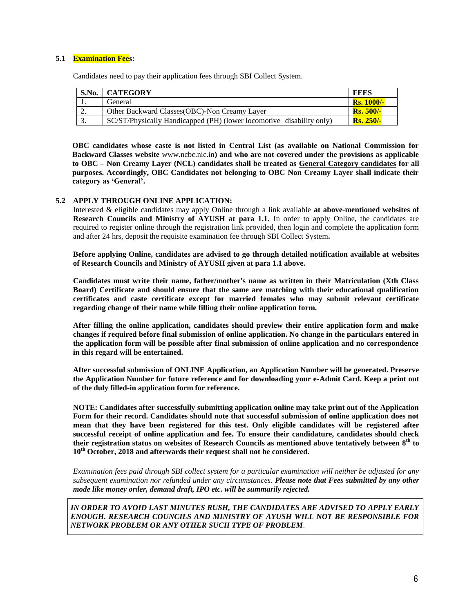### **5.1 Examination Fees:**

Candidates need to pay their application fees through SBI Collect System.

| S.No.    | <b>CATEGORY</b>                                                      | <b>FEES</b>         |
|----------|----------------------------------------------------------------------|---------------------|
|          | General                                                              | <b>Rs. 1000/-</b>   |
| <u>.</u> | Other Backward Classes (OBC)-Non Creamy Layer                        | $Rs. 500/-$         |
|          | SC/ST/Physically Handicapped (PH) (lower locomotive disability only) | $\text{Rs. } 250/-$ |

**OBC candidates whose caste is not listed in Central List (as available on National Commission for Backward Classes website** www.ncbc.nic.in**) and who are not covered under the provisions as applicable to OBC – Non Creamy Layer (NCL) candidates shall be treated as General Category candidates for all purposes. Accordingly, OBC Candidates not belonging to OBC Non Creamy Layer shall indicate their category as 'General'.**

#### **5.2 APPLY THROUGH ONLINE APPLICATION:**

Interested & eligible candidates may apply Online through a link available **at above-mentioned websites of Research Councils and Ministry of AYUSH at para 1.1.** In order to apply Online, the candidates are required to register online through the registration link provided, then login and complete the application form and after 24 hrs, deposit the requisite examination fee through SBI Collect System**.** 

**Before applying Online, candidates are advised to go through detailed notification available at websites of Research Councils and Ministry of AYUSH given at para 1.1 above.**

**Candidates must write their name, father/mother's name as written in their Matriculation (Xth Class Board) Certificate and should ensure that the same are matching with their educational qualification certificates and caste certificate except for married females who may submit relevant certificate regarding change of their name while filling their online application form.** 

**After filling the online application, candidates should preview their entire application form and make changes if required before final submission of online application. No change in the particulars entered in the application form will be possible after final submission of online application and no correspondence in this regard will be entertained.** 

**After successful submission of ONLINE Application, an Application Number will be generated. Preserve the Application Number for future reference and for downloading your e-Admit Card. Keep a print out of the duly filled-in application form for reference.** 

**NOTE: Candidates after successfully submitting application online may take print out of the Application Form for their record. Candidates should note that successful submission of online application does not mean that they have been registered for this test. Only eligible candidates will be registered after successful receipt of online application and fee. To ensure their candidature, candidates should check their registration status on websites of Research Councils as mentioned above tentatively between 8 th to 10th October, 2018 and afterwards their request shall not be considered.**

*Examination fees paid through SBI collect system for a particular examination will neither be adjusted for any subsequent examination nor refunded under any circumstances. Please note that Fees submitted by any other mode like money order, demand draft, IPO etc. will be summarily rejected.* 

*IN ORDER TO AVOID LAST MINUTES RUSH, THE CANDIDATES ARE ADVISED TO APPLY EARLY ENOUGH. RESEARCH COUNCILS AND MINISTRY OF AYUSH WILL NOT BE RESPONSIBLE FOR NETWORK PROBLEM OR ANY OTHER SUCH TYPE OF PROBLEM*.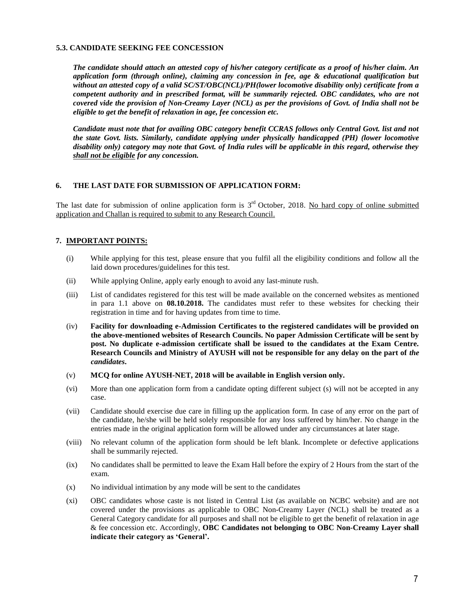#### **5.3. CANDIDATE SEEKING FEE CONCESSION**

*The candidate should attach an attested copy of his/her category certificate as a proof of his/her claim. An application form (through online), claiming any concession in fee, age & educational qualification but without an attested copy of a valid SC/ST/OBC(NCL)/PH(lower locomotive disability only) certificate from a competent authority and in prescribed format, will be summarily rejected. OBC candidates, who are not covered vide the provision of Non-Creamy Layer (NCL) as per the provisions of Govt. of India shall not be eligible to get the benefit of relaxation in age, fee concession etc.*

*Candidate must note that for availing OBC category benefit CCRAS follows only Central Govt. list and not the state Govt. lists. Similarly, candidate applying under physically handicapped (PH) (lower locomotive disability only) category may note that Govt. of India rules will be applicable in this regard, otherwise they shall not be eligible for any concession.*

#### **6. THE LAST DATE FOR SUBMISSION OF APPLICATION FORM:**

The last date for submission of online application form is  $3<sup>rd</sup>$  October, 2018. No hard copy of online submitted application and Challan is required to submit to any Research Council.

#### **7. IMPORTANT POINTS:**

- (i) While applying for this test, please ensure that you fulfil all the eligibility conditions and follow all the laid down procedures/guidelines for this test.
- (ii) While applying Online, apply early enough to avoid any last-minute rush.
- (iii) List of candidates registered for this test will be made available on the concerned websites as mentioned in para 1.1 above on **08.10.2018.** The candidates must refer to these websites for checking their registration in time and for having updates from time to time.
- (iv) **Facility for downloading e-Admission Certificates to the registered candidates will be provided on the above-mentioned websites of Research Councils. No paper Admission Certificate will be sent by post. No duplicate e-admission certificate shall be issued to the candidates at the Exam Centre. Research Councils and Ministry of AYUSH will not be responsible for any delay on the part of** *the candidates***.**
- (v) **MCQ for online AYUSH-NET, 2018 will be available in English version only.**
- (vi) More than one application form from a candidate opting different subject (s) will not be accepted in any case.
- (vii) Candidate should exercise due care in filling up the application form. In case of any error on the part of the candidate, he/she will be held solely responsible for any loss suffered by him/her. No change in the entries made in the original application form will be allowed under any circumstances at later stage.
- (viii) No relevant column of the application form should be left blank. Incomplete or defective applications shall be summarily rejected.
- (ix) No candidates shall be permitted to leave the Exam Hall before the expiry of 2 Hours from the start of the exam.
- $(x)$  No individual intimation by any mode will be sent to the candidates
- (xi) OBC candidates whose caste is not listed in Central List (as available on NCBC website) and are not covered under the provisions as applicable to OBC Non-Creamy Layer (NCL) shall be treated as a General Category candidate for all purposes and shall not be eligible to get the benefit of relaxation in age & fee concession etc. Accordingly, **OBC Candidates not belonging to OBC Non-Creamy Layer shall indicate their category as 'General'.**